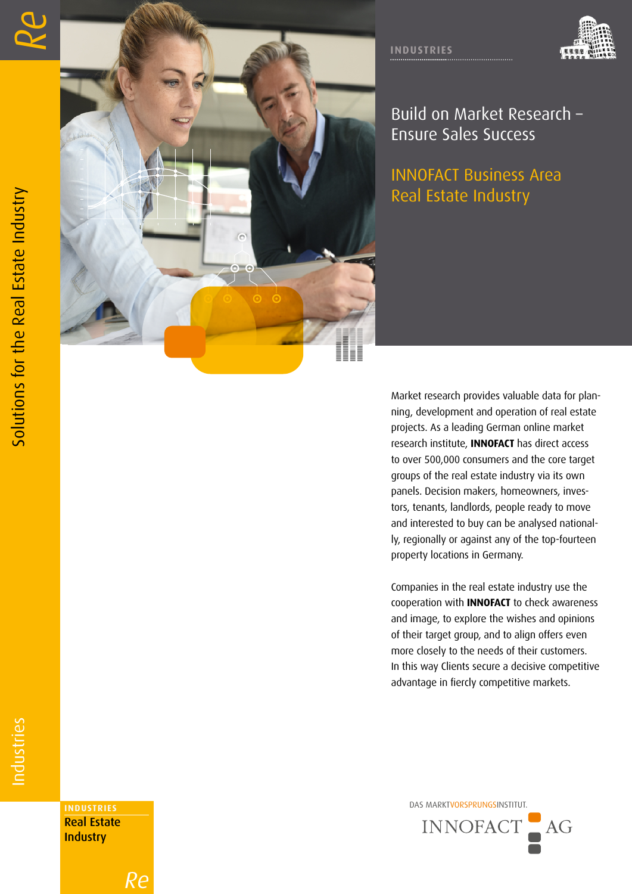



Build on Market Research – Ensure Sales Success

INNOFACT Business Area Real Estate Industry

Market research provides valuable data for plan ning, development and operation of real estate projects. As a leading German online market research institute, **INNOFACT** has direct access to over 500,000 consumers and the core target groups of the real estate industry via its own panels. Decision makers, homeowners, inves tors, tenants, landlords, people ready to move and interested to buy can be analysed national ly, regionally or against any of the top-fourteen property locations in Germany.

Companies in the real estate industry use the cooperation with **INNOFACT** to check awareness and image, to explore the wishes and opinions of their target group, and to align offers even more closely to the needs of their customers. In this way Clients secure a decisive competitive advantage in fiercly competitive markets.

DAS MARKTVORSPRUNGSINSTITUT. **INDUSTRIES**



Real Estate **Industry** 

*Re*